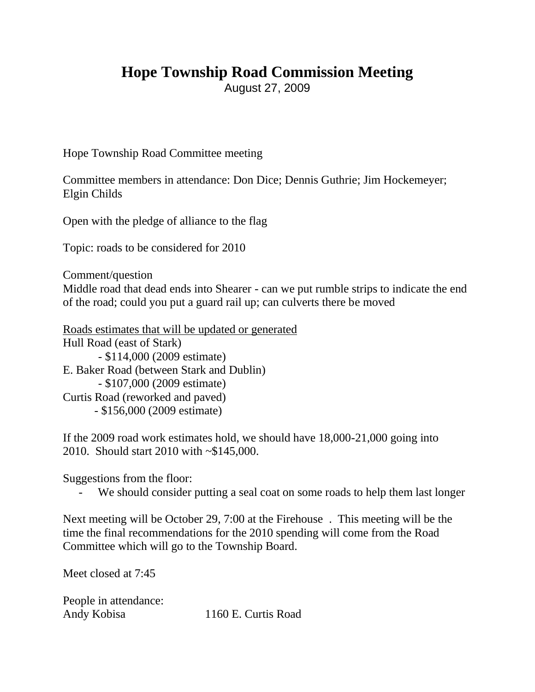## **Hope Township Road Commission Meeting**

August 27, 2009

Hope Township Road Committee meeting

Committee members in attendance: Don Dice; Dennis Guthrie; Jim Hockemeyer; Elgin Childs

Open with the pledge of alliance to the flag

Topic: roads to be considered for 2010

Comment/question

Middle road that dead ends into Shearer - can we put rumble strips to indicate the end of the road; could you put a guard rail up; can culverts there be moved

Roads estimates that will be updated or generated Hull Road (east of Stark) - \$114,000 (2009 estimate) E. Baker Road (between Stark and Dublin) - \$107,000 (2009 estimate) Curtis Road (reworked and paved) - \$156,000 (2009 estimate)

If the 2009 road work estimates hold, we should have 18,000-21,000 going into 2010. Should start 2010 with ~\$145,000.

Suggestions from the floor:

We should consider putting a seal coat on some roads to help them last longer

Next meeting will be October 29, 7:00 at the Firehouse . This meeting will be the time the final recommendations for the 2010 spending will come from the Road Committee which will go to the Township Board.

Meet closed at 7:45

People in attendance: Andy Kobisa 1160 E. Curtis Road